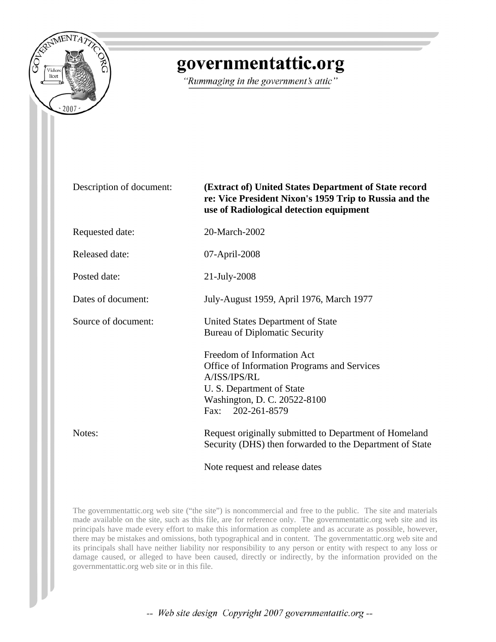

## governmentattic.org

"Rummaging in the government's attic"

Description of document: **(Extract of) United States Department of State record re: Vice President Nixon's 1959 Trip to Russia and the use of Radiological detection equipment**  Requested date: 20-March-2002 Released date: 07-April-2008 Posted date: 21-July-2008 Dates of document: July-August 1959, April 1976, March 1977

Source of document: United States Department of State Bureau of Diplomatic Security

> Freedom of Information Act Office of Information Programs and Services A/ISS/IPS/RL U. S. Department of State Washington, D. C. 20522-8100 Fax: 202-261-8579

Notes: Request originally submitted to Department of Homeland Security (DHS) then forwarded to the Department of State

Note request and release dates

The governmentattic.org web site ("the site") is noncommercial and free to the public. The site and materials made available on the site, such as this file, are for reference only. The governmentattic.org web site and its principals have made every effort to make this information as complete and as accurate as possible, however, there may be mistakes and omissions, both typographical and in content. The governmentattic.org web site and its principals shall have neither liability nor responsibility to any person or entity with respect to any loss or damage caused, or alleged to have been caused, directly or indirectly, by the information provided on the governmentattic.org web site or in this file.

-- Web site design Copyright 2007 governmentattic.org --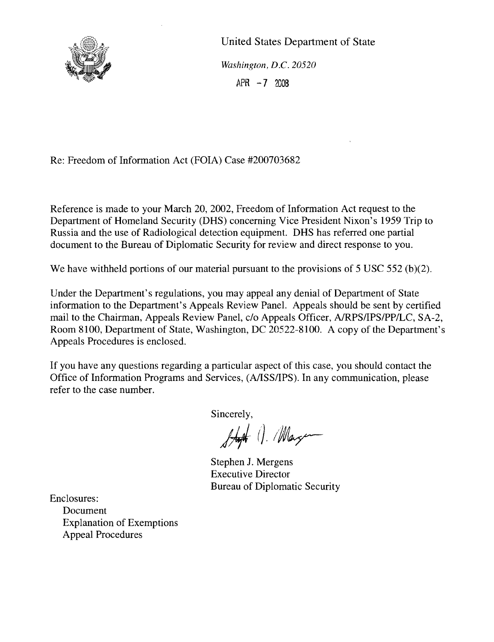

United States Department of State *Washington, D.C. 20520*  $APR -7 2008$ 

Re: Freedom of Information Act (FOIA) Case #200703682

Reference is made to your March 20, 2002, Freedom of Information Act request to the Department of Homeland Security (DHS) concerning Vice President Nixon's 1959 Trip to Russia and the use of Radiological detection equipment. DHS has referred one partial document to the Bureau of Diplomatic Security for review and direct response to you.

We have withheld portions of our material pursuant to the provisions of 5 USC 552 (b)(2).

Under the Department's regulations, you may appeal any denial of Department of State information to the Department's Appeals Review Panel. Appeals should be sent by certified mail to the Chairman, Appeals Review Panel, c/o Appeals Officer, AlRPS/IPS/PP/LC, SA-2, Room 8100, Department of State, Washington, DC 20522-8100. A copy of the Department's Appeals Procedures is enclosed.

If you have any questions regarding a particular aspect of this case, you should contact the Office of Information Programs and Services, (A/ISS/IPS). In any communication, please refer to the case number.

Sincerely,

Just 1. Magen

Stephen J. Mergens Executive Director Bureau of Diplomatic Security

Enclosures:

Document Explanation of Exemptions Appeal Procedures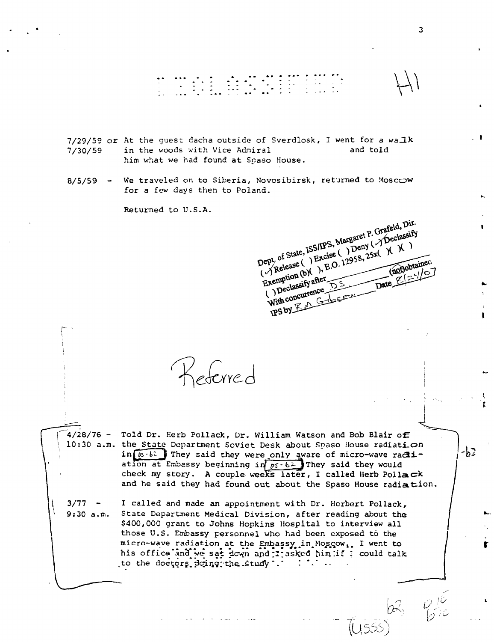# 

7/29/59 or At the guest dacha outside of Sverdlosk, I went for a walk in the woods with Vice Admiral and told  $7/30/59$ him what we had found at Spaso House.

We traveled on to Siberia, Novosibirsk, returned to Moscow  $8/5/59$ for a few days then to Poland.

Returned to U.S.A.

Dept of State, ISS/IPS, Margaret P. Grafeld, Dir. Release () Excise () Deny () Declassify Exemption (b)(2), E.O. 12958, 25x(X)(X) (not)obtained  $10<sup>7</sup>$ ( ) Declassify after With concurrence PSDY Endson

Referred

 $4/28/76$  -Told Dr. Herb Pollack, Dr. William Watson and Bob Blair of 10:30 a.m. the State Department Soviet Desk about Spaso House radiation in  $\boxed{p_i - b}$  They said they were only aware of micro-wave radiation at Embassy beginning in  $p_5 - b^2$  They said they would check my story. A couple weeks later, I called Herb Pollack and he said they had found out about the Spaso House radiation.

 $3/77 -$ I called and made an appointment with Dr. Herbert Pollack,  $9:30 a.m.$ State Department Medical Division, after reading about the \$400,000 grant to Johns Hopkins Hospital to interview all those U.S. Embassy personnel who had been exposed to the micro-wave radiation at the Embassy in Moscow,. I went to his office and we sat down and I asked him if ; could talk  $\mathbb{R}^n$  . The following  $\mathbb{R}^n$ to the doctors doing the study .

-b2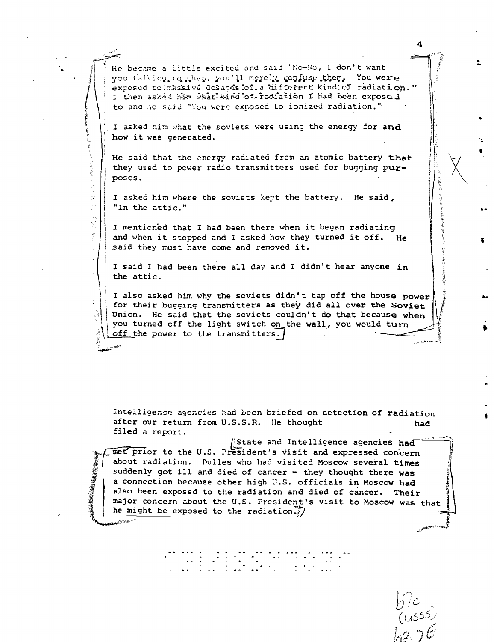He became a little excited and said "No-No, I don't want you talking to them, you'll merely confuse them, You were exposed to massive dosages of a different kind of radiation." I then asked him what wind of radiation I had been exposed to and he said "You were exposed to ionized radiation."

I asked him what the soviets were using the energy for and how it was generated.

He said that the energy radiated from an atomic battery that they used to power radio transmitters used for bugging purposes.

I asked him where the soviets kept the battery. He said, "In the attic."

N

 $\frac{\partial \hat{\Sigma}}{\partial \hat{z}}$ 

I mentioned that I had been there when it began radiating and when it stopped and I asked how they turned it off. He said they must have come and removed it.

I said I had been there all day and I didn't hear anyone in the attic.

I also asked him why the soviets didn't tap off the house power for their bugging transmitters as they did all over the Soviet Union. He said that the soviets couldn't do that because when you turned off the light switch on the wall, you would turn off the power to the transmitters.

Intelligence agencies had been briefed on detection of radiation after our return from U.S.S.R. He thought had filed a report.

State and Intelligence agencies had met prior to the U.S. President's visit and expressed concern about radiation. Dulles who had visited Moscow several times suddenly got ill and died of cancer - they thought there was a connection because other high U.S. officials in Moscow had also been exposed to the radiation and died of cancer. Their major concern about the U.S. President's visit to Moscow was that he might be exposed to the radiation.

4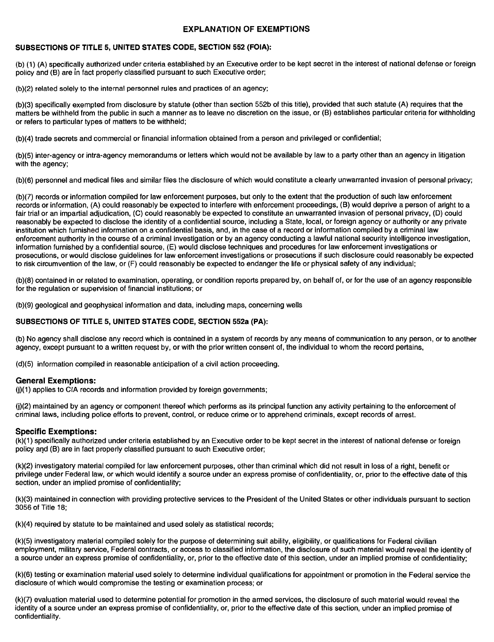#### **EXPLANATION OF EXEMPTIONS**

#### **SUBSECTIONS OF TITLE 5, UNITED STATES CODE, SECTION 552 (FOIA):**

(b) (1) (A) specifically authorized under criteria established by an Executive order to be kept secret in the interest of national defense or foreign policy and (B) are in fact properly classified pursuant to such Executive order;

(b)(2) related solely to the internal personnel rules and practices of an agency;

(b)(3) specifically exempted from disclosure by statute (other than section 552b of this title), provided that such statute (A) requires that the matters be withheld from the public in such a manner as to leave no discretion on the issue, or (B) establishes particular criteria for withholding or refers to particular types of matters to be withheld;

(b)(4) trade secrets and commercial or financial information obtained from a person and privileged or confidential;

(b)(5) inter-agency or intra-agency memorandums or letters which would not be available by law to a party other than an agency in litigation with the agency;

(b)(6) personnel and medical files and similar files the disclosure of which would constitute a clearly unwarranted invasion of personal privacy;

(b)(7) records or information compiled for law enforcement purposes, but only to the extent that the production of such law enforcement records or information, (A) could reasonably be expected to interfere with enforcement proceedings, (8) would deprive a person of aright to a fair trial or an impartial adjudication, (C) could reasonably be expected to constitute an unwarranted invasion of personal privacy, (D) could reasonably be expected to disclose the identity of a confidential source, including a State, local, or foreign agency or authority or any private institution which furnished information on a confidential basis, and, in the case of a record or information compiled by a criminal law enforcement authority in the course of a criminal investigation or by an agency conducting a lawful national security intelligence investigation, information furnished by a confidential source, (E) would disclose techniques and procedures for law enforcement investigations or prosecutions, or would disclose guidelines for law enforcement investigations or prosecutions if such disclosure could reasonably be expected to risk circumvention of the law, or (F) could reasonably be expected to endanger the life or physical safety of any individual;

(b)(8) contained in or related to examination, operating, or condition reports prepared by, on behalf of, or for the use of an agency responsible for the regulation or supervision of financial institutions; or

(b)(9) geological and geophysical information and data, including maps, concerning wells

#### **SUBSECTIONS OF TITLE 5, UNITED STATES CODE, SECTION 552a (PA):**

(b) No agency shall disclose any record which is contained in a system of records by any means of communication to any person, or to another agency, except pursuant to a written request by, or with the prior written consent of, the individual to whom the record pertains,

(d)(5) information compiled in reasonable anticipation of a civil action proceeding.

#### **General Exemptions:**

 $(i)(1)$  applies to CIA records and information provided by foreign governments;

0)(2) maintained by an agency or component thereof which performs as its principal function any activity pertaining to the enforcement of criminal laws, inclUding police efforts to prevent, control, or reduce crime or to apprehend criminals, except records of arrest.

#### **Specific Exemptions:**

(k)(1) specifically authorized under criteria established by an Executive order to be kept secret in the interest of national defense or foreign policy and (B) are in fact properly classified pursuant to such Executive order;

(k)(2) investigatory material compiled for law enforcement purposes, other than criminal which did not result in loss of a right, benefit or privilege under Federal law, or which would identify a source under an express promise of confidentiality, or, prior to the effective date of this section, under an implied promise of confidentiality;

(k)(3) maintained in connection with providing protective services to the President of the United States or other individuals pursuant to section 3056 of Title 18:

(k)(4) required by statute to be maintained and used solely as statistical records;

(k)(5) investigatory material compiled solely for the purpose of determining suit ability, eligibility, or qualifications for Federal civilian employment, military service, Federal contracts, or access to classified information, the disclosure of such material would reveal the identity of a source under an express promise of confidentiality, or, prior to the effective date of this section, under an implied promise of confidentiality;

(k)(6) testing or examination material used solely to determine individual qualifications for appointment or promotion in the Federal service the disclosure of which would compromise the testing or examination process; or

(k)(7) evaluation material used to determine potential for promotion in the armed services, the disclosure of such material would reveal the identity of a source under an express promise of confidentiality, or, prior to the effective date of this section, under an implied promise of confidentiality.